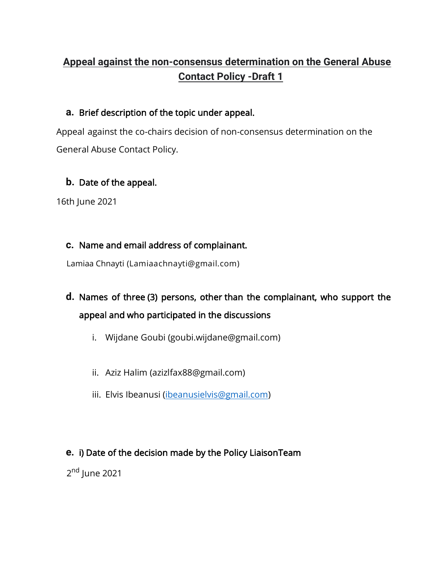# **Appeal against the non-consensus determination on the General Abuse Contact Policy -Draft 1**

## **a.** Brief description of the topic under appeal.

Appeal against the co-chairs decision of non-consensus determination on the General Abuse Contact Policy.

## **b.** Date of the appeal.

16th June 2021

### **c.** Name and email address of complainant.

Lamiaa Chnayti (Lamiaachnayti@gmail.com)

# **d.** Names of three (3) persons, other than the complainant, who support the appeal and who participated in the discussions

- i. Wijdane Goubi (goubi.wijdane@gmail.com)
- ii. Aziz Halim (azizlfax88@gmail.com)
- iii. Elvis Ibeanusi [\(ibeanusielvis@gmail.com\)](mailto:ibeanusielvis@gmail.com)

## **e.** i) Date of the decision made by the Policy LiaisonTeam

2<sup>nd</sup> June 2021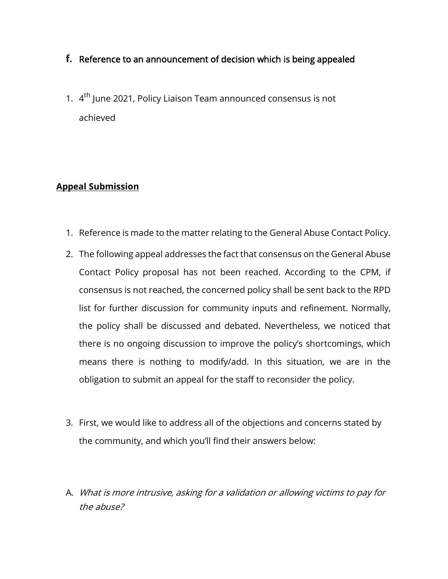## **f.** Reference to an announcement of decision which is being appealed

1. 4<sup>th</sup> June 2021, Policy Liaison Team announced consensus is not achieved

### **Appeal Submission**

- 1. Reference is made to the matter relating to the General Abuse Contact Policy.
- 2. The following appeal addresses the fact that consensus on the General Abuse Contact Policy proposal has not been reached. According to the CPM, if consensus is not reached, the concerned policy shall be sent back to the RPD list for further discussion for community inputs and refinement. Normally, the policy shall be discussed and debated. Nevertheless, we noticed that there is no ongoing discussion to improve the policy's shortcomings, which means there is nothing to modify/add. In this situation, we are in the obligation to submit an appeal for the staff to reconsider the policy.
- 3. First, we would like to address all of the objections and concerns stated by the community, and which you'll find their answers below:
- A. What is more intrusive, asking for a validation or allowing victims to pay for the abuse?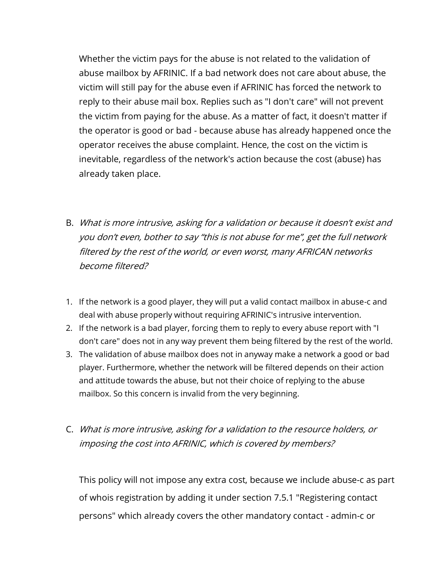Whether the victim pays for the abuse is not related to the validation of abuse mailbox by AFRINIC. If a bad network does not care about abuse, the victim will still pay for the abuse even if AFRINIC has forced the network to reply to their abuse mail box. Replies such as "I don't care" will not prevent the victim from paying for the abuse. As a matter of fact, it doesn't matter if the operator is good or bad - because abuse has already happened once the operator receives the abuse complaint. Hence, the cost on the victim is inevitable, regardless of the network's action because the cost (abuse) has already taken place.

- B. What is more intrusive, asking for a validation or because it doesn't exist and you don't even, bother to say "this is not abuse for me", get the full network filtered by the rest of the world, or even worst, many AFRICAN networks become filtered?
- 1. If the network is a good player, they will put a valid contact mailbox in abuse-c and deal with abuse properly without requiring AFRINIC's intrusive intervention.
- 2. If the network is a bad player, forcing them to reply to every abuse report with "I don't care" does not in any way prevent them being filtered by the rest of the world.
- 3. The validation of abuse mailbox does not in anyway make a network a good or bad player. Furthermore, whether the network will be filtered depends on their action and attitude towards the abuse, but not their choice of replying to the abuse mailbox. So this concern is invalid from the very beginning.
- C. What is more intrusive, asking for a validation to the resource holders, or imposing the cost into AFRINIC, which is covered by members?

This policy will not impose any extra cost, because we include abuse-c as part of whois registration by adding it under section 7.5.1 "Registering contact persons" which already covers the other mandatory contact - admin-c or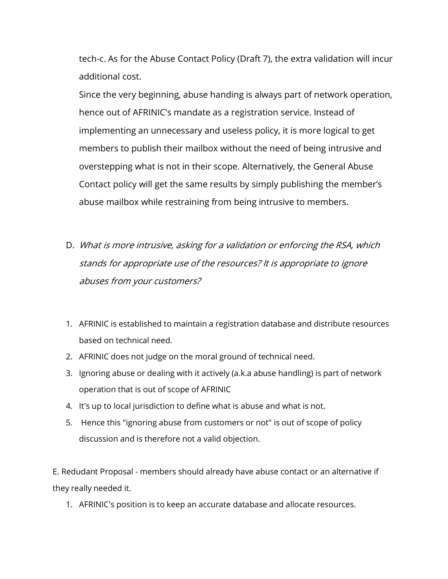tech-c. As for the Abuse Contact Policy (Draft 7), the extra validation will incur additional cost.

Since the very beginning, abuse handing is always part of network operation, hence out of AFRINIC's mandate as a registration service. Instead of implementing an unnecessary and useless policy, it is more logical to get members to publish their mailbox without the need of being intrusive and overstepping what is not in their scope. Alternatively, the General Abuse Contact policy will get the same results by simply publishing the member's abuse mailbox while restraining from being intrusive to members.

- D. What is more intrusive, asking for a validation or enforcing the RSA, which stands for appropriate use of the resources? It is appropriate to ignore abuses from your customers?
- 1. AFRINIC is established to maintain a registration database and distribute resources based on technical need.
- 2. AFRINIC does not judge on the moral ground of technical need.
- 3. Ignoring abuse or dealing with it actively (a.k.a abuse handling) is part of network operation that is out of scope of AFRINIC
- 4. It's up to local jurisdiction to define what is abuse and what is not.
- 5. Hence this "ignoring abuse from customers or not" is out of scope of policy discussion and is therefore not a valid objection.

E. Redudant Proposal - members should already have abuse contact or an alternative if they really needed it.

1. AFRINIC's position is to keep an accurate database and allocate resources.